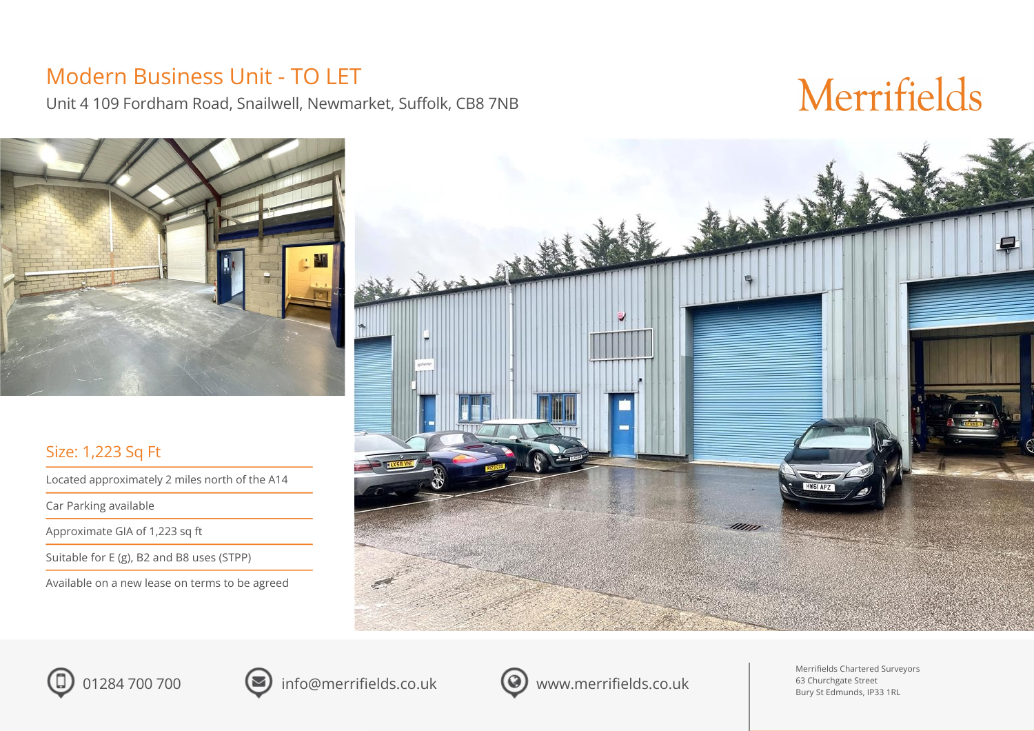### Modern Business Unit - TO LET

Unit 4 109 Fordham Road, Snailwell, Newmarket, Suffolk, CB8 7NB

## Merrifields



### Size: 1,223 Sq Ft

Located approximately 2 miles north of the A14

Car Parking available

Approximate GIA of 1,223 sq ft

Suitable for E (g), B2 and B8 uses (STPP)

Available on a new lease on terms to be agreed







01284 700 700 info@merrifields.co.uk <br>
output to the merrifields.com



Merrifields Chartered Surveyors 63 Churchgate Street Bury St Edmunds, IP33 1RL